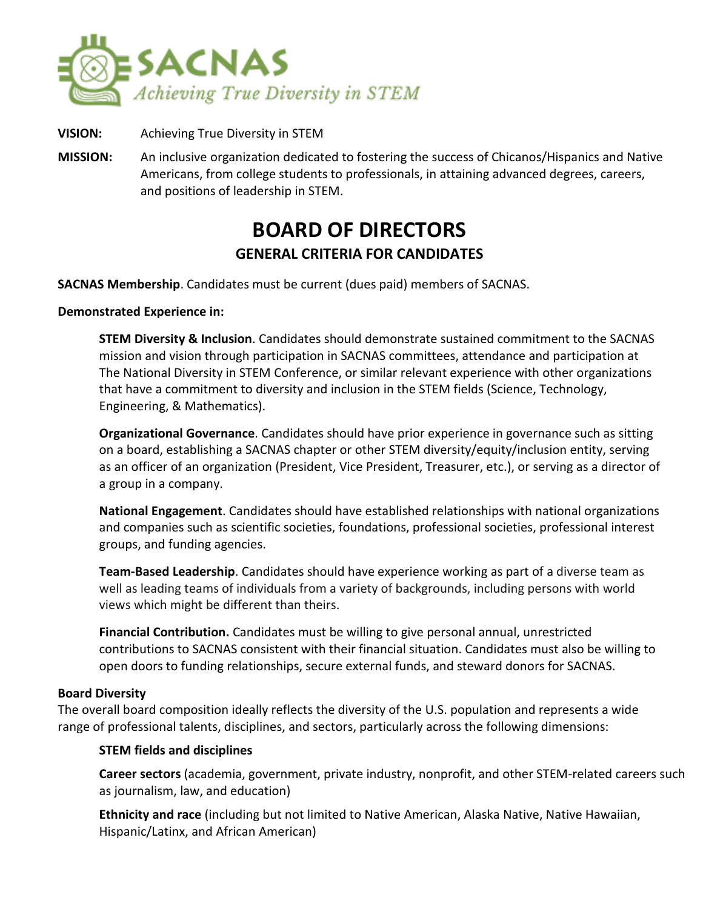

- **VISION:** Achieving True Diversity in STEM
- **MISSION:** An inclusive organization dedicated to fostering the success of Chicanos/Hispanics and Native Americans, from college students to professionals, in attaining advanced degrees, careers, and positions of leadership in STEM.

# **BOARD OF DIRECTORS GENERAL CRITERIA FOR CANDIDATES**

**SACNAS Membership**. Candidates must be current (dues paid) members of SACNAS.

#### **Demonstrated Experience in:**

**STEM Diversity & Inclusion**. Candidates should demonstrate sustained commitment to the SACNAS mission and vision through participation in SACNAS committees, attendance and participation at The National Diversity in STEM Conference, or similar relevant experience with other organizations that have a commitment to diversity and inclusion in the STEM fields (Science, Technology, Engineering, & Mathematics).

**Organizational Governance**. Candidates should have prior experience in governance such as sitting on a board, establishing a SACNAS chapter or other STEM diversity/equity/inclusion entity, serving as an officer of an organization (President, Vice President, Treasurer, etc.), or serving as a director of a group in a company.

**National Engagement**. Candidates should have established relationships with national organizations and companies such as scientific societies, foundations, professional societies, professional interest groups, and funding agencies.

**Team-Based Leadership**. Candidates should have experience working as part of a diverse team as well as leading teams of individuals from a variety of backgrounds, including persons with world views which might be different than theirs.

**Financial Contribution.** Candidates must be willing to give personal annual, unrestricted contributions to SACNAS consistent with their financial situation. Candidates must also be willing to open doors to funding relationships, secure external funds, and steward donors for SACNAS.

#### **Board Diversity**

The overall board composition ideally reflects the diversity of the U.S. population and represents a wide range of professional talents, disciplines, and sectors, particularly across the following dimensions:

#### **STEM fields and disciplines**

**Career sectors** (academia, government, private industry, nonprofit, and other STEM-related careers such as journalism, law, and education)

**Ethnicity and race** (including but not limited to Native American, Alaska Native, Native Hawaiian, Hispanic/Latinx, and African American)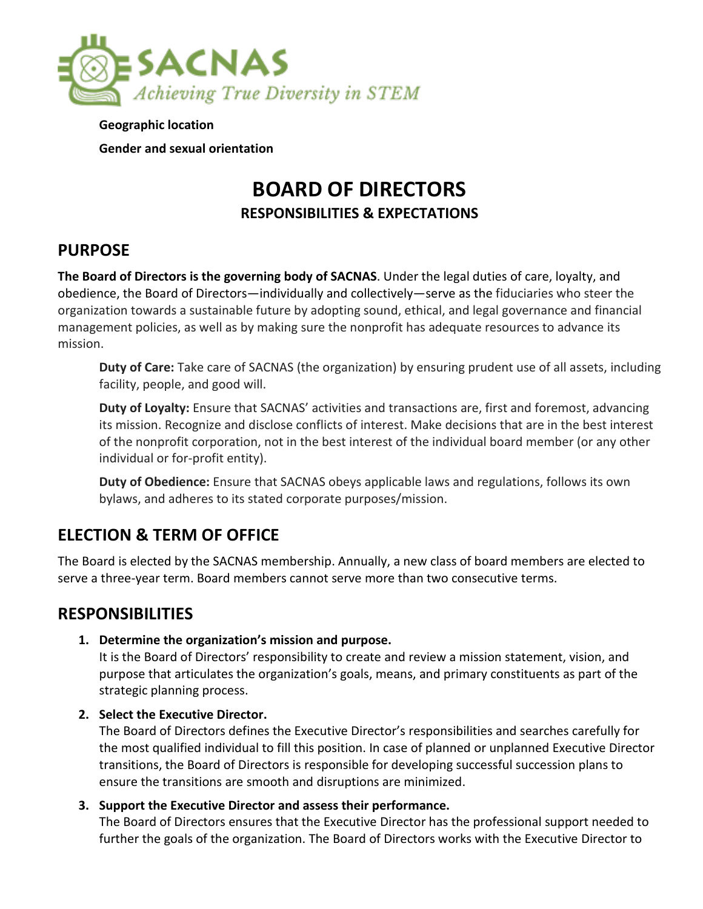

**Geographic location Gender and sexual orientation** 

# **BOARD OF DIRECTORS RESPONSIBILITIES & EXPECTATIONS**

## **PURPOSE**

**The Board of Directors is the governing body of SACNAS**. Under the legal duties of care, loyalty, and obedience, the Board of Directors—individually and collectively—serve as the fiduciaries who steer the organization towards a sustainable future by adopting sound, ethical, and legal governance and financial management policies, as well as by making sure the nonprofit has adequate resources to advance its mission.

**Duty of Care:** Take care of SACNAS (the organization) by ensuring prudent use of all assets, including facility, people, and good will.

**Duty of Loyalty:** Ensure that SACNAS' activities and transactions are, first and foremost, advancing its mission. Recognize and disclose conflicts of interest. Make decisions that are in the best interest of the nonprofit corporation, not in the best interest of the individual board member (or any other individual or for-profit entity).

**Duty of Obedience:** Ensure that SACNAS obeys applicable laws and regulations, follows its own bylaws, and adheres to its stated corporate purposes/mission.

## **ELECTION & TERM OF OFFICE**

The Board is elected by the SACNAS membership. Annually, a new class of board members are elected to serve a three-year term. Board members cannot serve more than two consecutive terms.

### **RESPONSIBILITIES**

**1. Determine the organization's mission and purpose.** 

It is the Board of Directors' responsibility to create and review a mission statement, vision, and purpose that articulates the organization's goals, means, and primary constituents as part of the strategic planning process.

#### **2. Select the Executive Director.**

The Board of Directors defines the Executive Director's responsibilities and searches carefully for the most qualified individual to fill this position. In case of planned or unplanned Executive Director transitions, the Board of Directors is responsible for developing successful succession plans to ensure the transitions are smooth and disruptions are minimized.

#### **3. Support the Executive Director and assess their performance.**

The Board of Directors ensures that the Executive Director has the professional support needed to further the goals of the organization. The Board of Directors works with the Executive Director to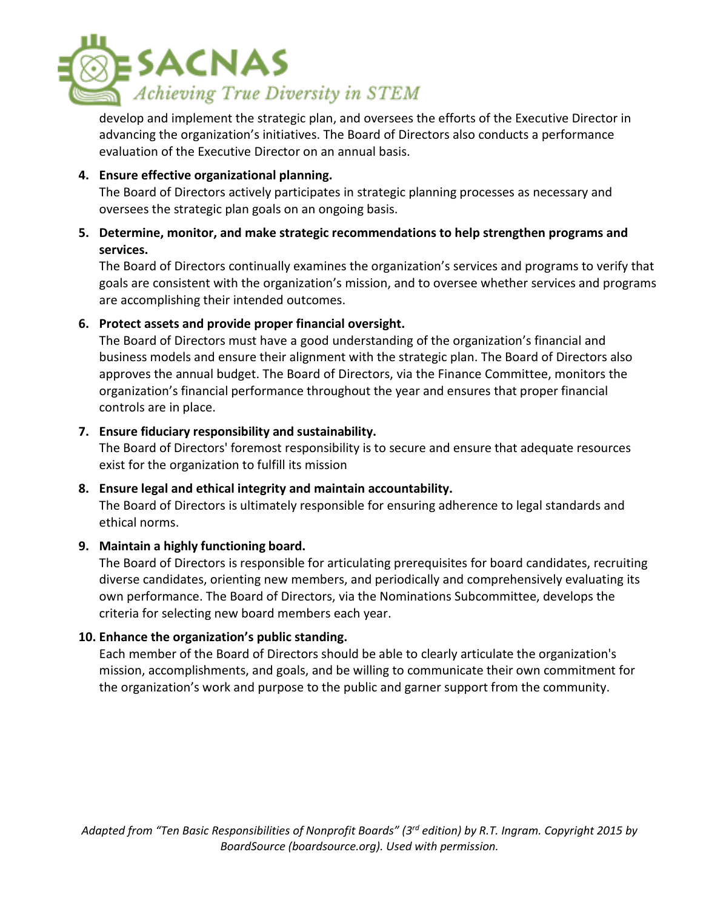

develop and implement the strategic plan, and oversees the efforts of the Executive Director in advancing the organization's initiatives. The Board of Directors also conducts a performance evaluation of the Executive Director on an annual basis.

#### **4. Ensure effective organizational planning.**

The Board of Directors actively participates in strategic planning processes as necessary and oversees the strategic plan goals on an ongoing basis.

#### **5. Determine, monitor, and make strategic recommendations to help strengthen programs and services.**

The Board of Directors continually examines the organization's services and programs to verify that goals are consistent with the organization's mission, and to oversee whether services and programs are accomplishing their intended outcomes.

#### **6. Protect assets and provide proper financial oversight.**

The Board of Directors must have a good understanding of the organization's financial and business models and ensure their alignment with the strategic plan. The Board of Directors also approves the annual budget. The Board of Directors, via the Finance Committee, monitors the organization's financial performance throughout the year and ensures that proper financial controls are in place.

#### **7. Ensure fiduciary responsibility and sustainability.**

The Board of Directors' foremost responsibility is to secure and ensure that adequate resources exist for the organization to fulfill its mission

#### **8. Ensure legal and ethical integrity and maintain accountability.**

The Board of Directors is ultimately responsible for ensuring adherence to legal standards and ethical norms.

#### **9. Maintain a highly functioning board.**

The Board of Directors is responsible for articulating prerequisites for board candidates, recruiting diverse candidates, orienting new members, and periodically and comprehensively evaluating its own performance. The Board of Directors, via the Nominations Subcommittee, develops the criteria for selecting new board members each year.

#### **10. Enhance the organization's public standing.**

Each member of the Board of Directors should be able to clearly articulate the organization's mission, accomplishments, and goals, and be willing to communicate their own commitment for the organization's work and purpose to the public and garner support from the community.